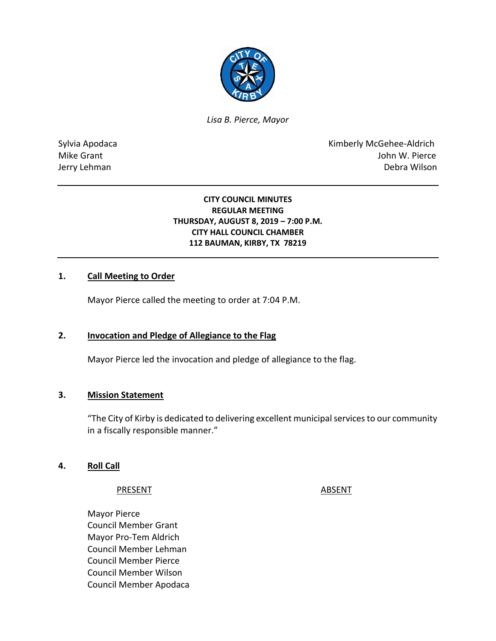

*Lisa B. Pierce, Mayor* 

Sylvia Apodaca **Kimberly McGehee-Aldrich** Mike Grant **Mike Grant** John W. Pierce Jerry Lehman Debra Wilson

#### **CITY COUNCIL MINUTES REGULAR MEETING THURSDAY, AUGUST 8, 2019 – 7:00 P.M. CITY HALL COUNCIL CHAMBER 112 BAUMAN, KIRBY, TX 78219**

#### **1. Call Meeting to Order**

Mayor Pierce called the meeting to order at 7:04 P.M.

#### **2. Invocation and Pledge of Allegiance to the Flag**

Mayor Pierce led the invocation and pledge of allegiance to the flag.

#### **3. Mission Statement**

"The City of Kirby is dedicated to delivering excellent municipal services to our community in a fiscally responsible manner."

#### **4. Roll Call**

#### PRESENT ABSENT

Mayor Pierce Council Member Grant Mayor Pro-Tem Aldrich Council Member Lehman Council Member Pierce Council Member Wilson Council Member Apodaca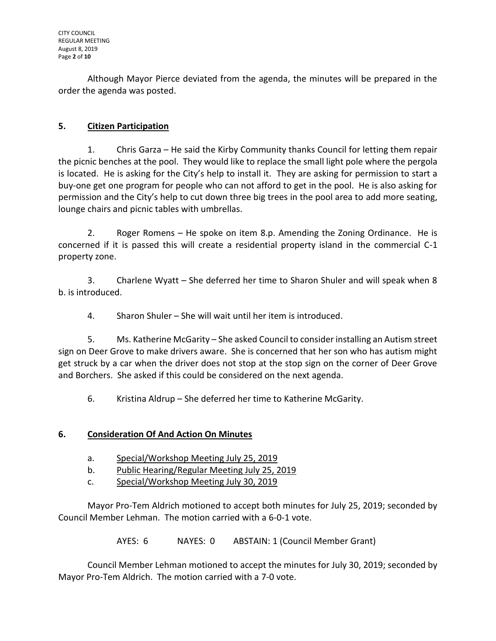Although Mayor Pierce deviated from the agenda, the minutes will be prepared in the order the agenda was posted.

## **5. Citizen Participation**

1. Chris Garza – He said the Kirby Community thanks Council for letting them repair the picnic benches at the pool. They would like to replace the small light pole where the pergola is located. He is asking for the City's help to install it. They are asking for permission to start a buy-one get one program for people who can not afford to get in the pool. He is also asking for permission and the City's help to cut down three big trees in the pool area to add more seating, lounge chairs and picnic tables with umbrellas.

2. Roger Romens – He spoke on item 8.p. Amending the Zoning Ordinance. He is concerned if it is passed this will create a residential property island in the commercial C-1 property zone.

3. Charlene Wyatt – She deferred her time to Sharon Shuler and will speak when 8 b. is introduced.

4. Sharon Shuler – She will wait until her item is introduced.

5. Ms. Katherine McGarity – She asked Council to consider installing an Autism street sign on Deer Grove to make drivers aware. She is concerned that her son who has autism might get struck by a car when the driver does not stop at the stop sign on the corner of Deer Grove and Borchers. She asked if this could be considered on the next agenda.

6. Kristina Aldrup – She deferred her time to Katherine McGarity.

## **6. Consideration Of And Action On Minutes**

- a. Special/Workshop Meeting July 25, 2019
- b. Public Hearing/Regular Meeting July 25, 2019
- c. Special/Workshop Meeting July 30, 2019

Mayor Pro-Tem Aldrich motioned to accept both minutes for July 25, 2019; seconded by Council Member Lehman. The motion carried with a 6-0-1 vote.

AYES: 6 NAYES: 0 ABSTAIN: 1 (Council Member Grant)

Council Member Lehman motioned to accept the minutes for July 30, 2019; seconded by Mayor Pro-Tem Aldrich. The motion carried with a 7-0 vote.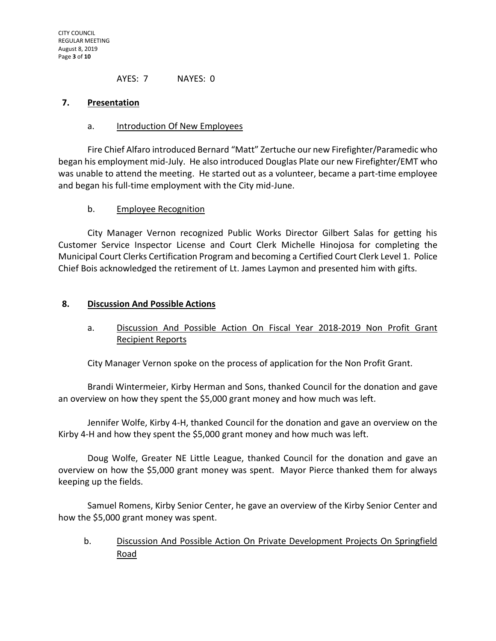AYES: 7 NAYES: 0

#### **7. Presentation**

### a. Introduction Of New Employees

Fire Chief Alfaro introduced Bernard "Matt" Zertuche our new Firefighter/Paramedic who began his employment mid-July. He also introduced Douglas Plate our new Firefighter/EMT who was unable to attend the meeting. He started out as a volunteer, became a part-time employee and began his full-time employment with the City mid-June.

### b. Employee Recognition

City Manager Vernon recognized Public Works Director Gilbert Salas for getting his Customer Service Inspector License and Court Clerk Michelle Hinojosa for completing the Municipal Court Clerks Certification Program and becoming a Certified Court Clerk Level 1. Police Chief Bois acknowledged the retirement of Lt. James Laymon and presented him with gifts.

### **8. Discussion And Possible Actions**

## a. Discussion And Possible Action On Fiscal Year 2018-2019 Non Profit Grant Recipient Reports

City Manager Vernon spoke on the process of application for the Non Profit Grant.

Brandi Wintermeier, Kirby Herman and Sons, thanked Council for the donation and gave an overview on how they spent the \$5,000 grant money and how much was left.

Jennifer Wolfe, Kirby 4-H, thanked Council for the donation and gave an overview on the Kirby 4-H and how they spent the \$5,000 grant money and how much was left.

Doug Wolfe, Greater NE Little League, thanked Council for the donation and gave an overview on how the \$5,000 grant money was spent. Mayor Pierce thanked them for always keeping up the fields.

Samuel Romens, Kirby Senior Center, he gave an overview of the Kirby Senior Center and how the \$5,000 grant money was spent.

b. Discussion And Possible Action On Private Development Projects On Springfield Road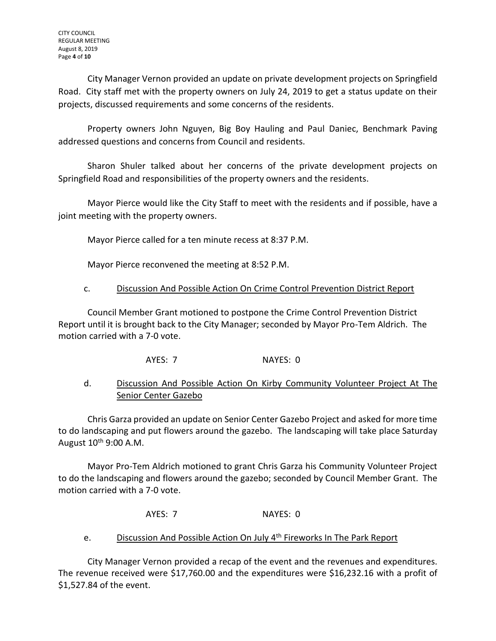City Manager Vernon provided an update on private development projects on Springfield Road. City staff met with the property owners on July 24, 2019 to get a status update on their projects, discussed requirements and some concerns of the residents.

Property owners John Nguyen, Big Boy Hauling and Paul Daniec, Benchmark Paving addressed questions and concerns from Council and residents.

Sharon Shuler talked about her concerns of the private development projects on Springfield Road and responsibilities of the property owners and the residents.

Mayor Pierce would like the City Staff to meet with the residents and if possible, have a joint meeting with the property owners.

Mayor Pierce called for a ten minute recess at 8:37 P.M.

Mayor Pierce reconvened the meeting at 8:52 P.M.

## c. Discussion And Possible Action On Crime Control Prevention District Report

Council Member Grant motioned to postpone the Crime Control Prevention District Report until it is brought back to the City Manager; seconded by Mayor Pro-Tem Aldrich. The motion carried with a 7-0 vote.

AYES: 7 NAYES: 0

## d. Discussion And Possible Action On Kirby Community Volunteer Project At The Senior Center Gazebo

Chris Garza provided an update on Senior Center Gazebo Project and asked for more time to do landscaping and put flowers around the gazebo. The landscaping will take place Saturday August 10<sup>th</sup> 9:00 A.M.

Mayor Pro-Tem Aldrich motioned to grant Chris Garza his Community Volunteer Project to do the landscaping and flowers around the gazebo; seconded by Council Member Grant. The motion carried with a 7-0 vote.

AYES: 7 NAYES: 0

## e. Discussion And Possible Action On July 4<sup>th</sup> Fireworks In The Park Report

City Manager Vernon provided a recap of the event and the revenues and expenditures. The revenue received were \$17,760.00 and the expenditures were \$16,232.16 with a profit of \$1,527.84 of the event.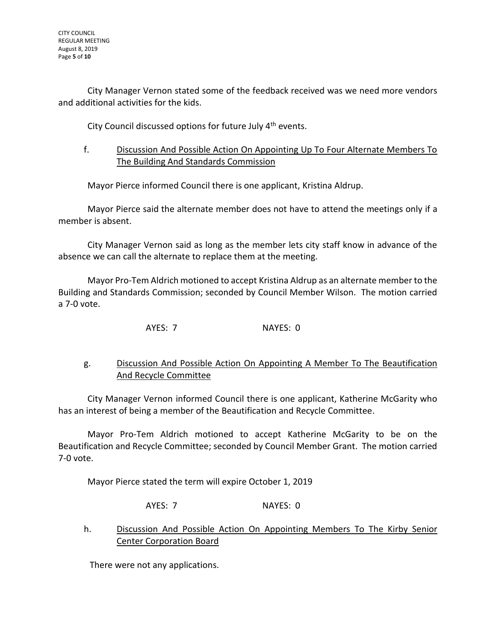City Manager Vernon stated some of the feedback received was we need more vendors and additional activities for the kids.

City Council discussed options for future July 4<sup>th</sup> events.

f. Discussion And Possible Action On Appointing Up To Four Alternate Members To The Building And Standards Commission

Mayor Pierce informed Council there is one applicant, Kristina Aldrup.

Mayor Pierce said the alternate member does not have to attend the meetings only if a member is absent.

City Manager Vernon said as long as the member lets city staff know in advance of the absence we can call the alternate to replace them at the meeting.

Mayor Pro-Tem Aldrich motioned to accept Kristina Aldrup as an alternate member to the Building and Standards Commission; seconded by Council Member Wilson. The motion carried a 7-0 vote.

AYES: 7 NAYES: 0

## g. Discussion And Possible Action On Appointing A Member To The Beautification And Recycle Committee

City Manager Vernon informed Council there is one applicant, Katherine McGarity who has an interest of being a member of the Beautification and Recycle Committee.

Mayor Pro-Tem Aldrich motioned to accept Katherine McGarity to be on the Beautification and Recycle Committee; seconded by Council Member Grant. The motion carried 7-0 vote.

Mayor Pierce stated the term will expire October 1, 2019

AYES: 7 NAYES: 0

h. Discussion And Possible Action On Appointing Members To The Kirby Senior Center Corporation Board

There were not any applications.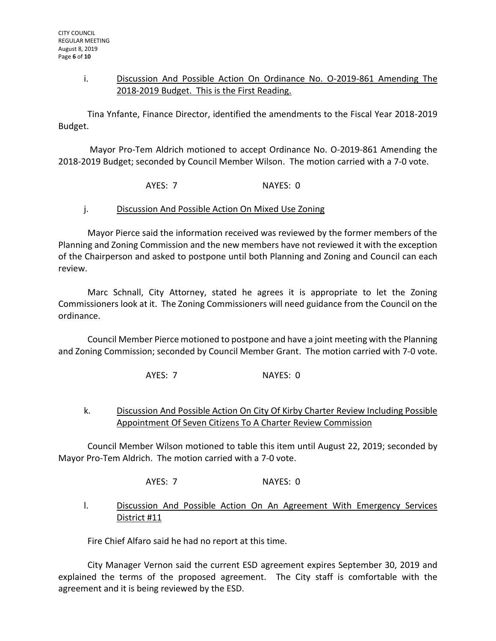#### i. Discussion And Possible Action On Ordinance No. O-2019-861 Amending The 2018-2019 Budget. This is the First Reading.

Tina Ynfante, Finance Director, identified the amendments to the Fiscal Year 2018-2019 Budget.

Mayor Pro-Tem Aldrich motioned to accept Ordinance No. O-2019-861 Amending the 2018-2019 Budget; seconded by Council Member Wilson. The motion carried with a 7-0 vote.

AYES: 7 NAYES: 0

#### j. Discussion And Possible Action On Mixed Use Zoning

Mayor Pierce said the information received was reviewed by the former members of the Planning and Zoning Commission and the new members have not reviewed it with the exception of the Chairperson and asked to postpone until both Planning and Zoning and Council can each review.

Marc Schnall, City Attorney, stated he agrees it is appropriate to let the Zoning Commissioners look at it. The Zoning Commissioners will need guidance from the Council on the ordinance.

Council Member Pierce motioned to postpone and have a joint meeting with the Planning and Zoning Commission; seconded by Council Member Grant. The motion carried with 7-0 vote.

AYES: 7 NAYES: 0

## k. Discussion And Possible Action On City Of Kirby Charter Review Including Possible Appointment Of Seven Citizens To A Charter Review Commission

Council Member Wilson motioned to table this item until August 22, 2019; seconded by Mayor Pro-Tem Aldrich. The motion carried with a 7-0 vote.

AYES: 7 NAYES: 0

### l. Discussion And Possible Action On An Agreement With Emergency Services District #11

Fire Chief Alfaro said he had no report at this time.

City Manager Vernon said the current ESD agreement expires September 30, 2019 and explained the terms of the proposed agreement. The City staff is comfortable with the agreement and it is being reviewed by the ESD.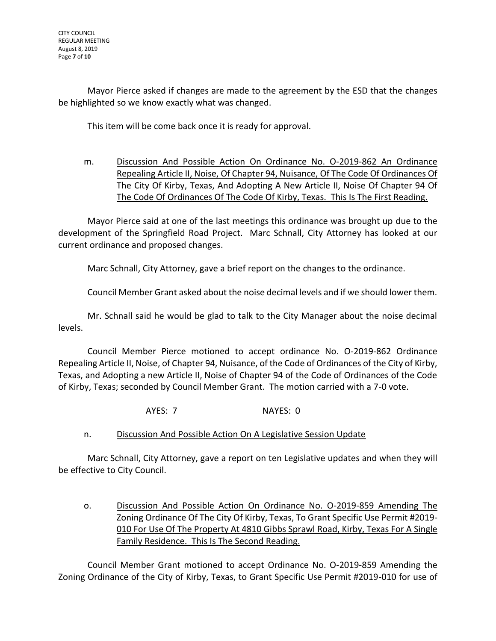Mayor Pierce asked if changes are made to the agreement by the ESD that the changes be highlighted so we know exactly what was changed.

This item will be come back once it is ready for approval.

m. Discussion And Possible Action On Ordinance No. O-2019-862 An Ordinance Repealing Article II, Noise, Of Chapter 94, Nuisance, Of The Code Of Ordinances Of The City Of Kirby, Texas, And Adopting A New Article II, Noise Of Chapter 94 Of The Code Of Ordinances Of The Code Of Kirby, Texas. This Is The First Reading.

Mayor Pierce said at one of the last meetings this ordinance was brought up due to the development of the Springfield Road Project. Marc Schnall, City Attorney has looked at our current ordinance and proposed changes.

Marc Schnall, City Attorney, gave a brief report on the changes to the ordinance.

Council Member Grant asked about the noise decimal levels and if we should lower them.

Mr. Schnall said he would be glad to talk to the City Manager about the noise decimal levels.

Council Member Pierce motioned to accept ordinance No. O-2019-862 Ordinance Repealing Article II, Noise, of Chapter 94, Nuisance, of the Code of Ordinances of the City of Kirby, Texas, and Adopting a new Article II, Noise of Chapter 94 of the Code of Ordinances of the Code of Kirby, Texas; seconded by Council Member Grant. The motion carried with a 7-0 vote.

AYES: 7 NAYES: 0

n. Discussion And Possible Action On A Legislative Session Update

Marc Schnall, City Attorney, gave a report on ten Legislative updates and when they will be effective to City Council.

o. Discussion And Possible Action On Ordinance No. O-2019-859 Amending The Zoning Ordinance Of The City Of Kirby, Texas, To Grant Specific Use Permit #2019- 010 For Use Of The Property At 4810 Gibbs Sprawl Road, Kirby, Texas For A Single Family Residence. This Is The Second Reading.

Council Member Grant motioned to accept Ordinance No. O-2019-859 Amending the Zoning Ordinance of the City of Kirby, Texas, to Grant Specific Use Permit #2019-010 for use of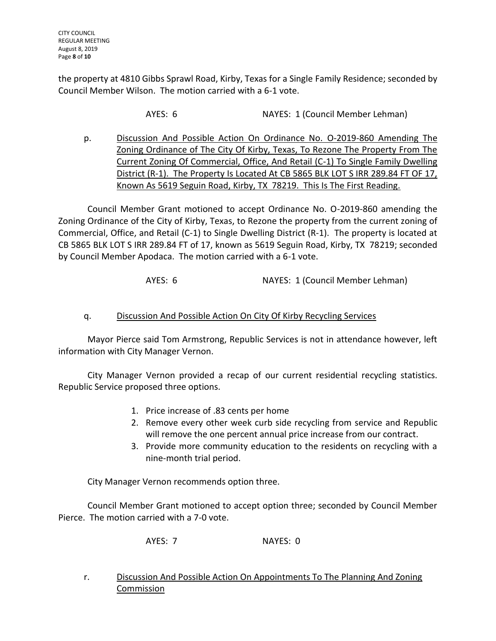the property at 4810 Gibbs Sprawl Road, Kirby, Texas for a Single Family Residence; seconded by Council Member Wilson. The motion carried with a 6-1 vote.

AYES: 6 NAYES: 1 (Council Member Lehman)

p. Discussion And Possible Action On Ordinance No. O-2019-860 Amending The Zoning Ordinance of The City Of Kirby, Texas, To Rezone The Property From The Current Zoning Of Commercial, Office, And Retail (C-1) To Single Family Dwelling District (R-1). The Property Is Located At CB 5865 BLK LOT S IRR 289.84 FT OF 17, Known As 5619 Seguin Road, Kirby, TX 78219. This Is The First Reading.

Council Member Grant motioned to accept Ordinance No. O-2019-860 amending the Zoning Ordinance of the City of Kirby, Texas, to Rezone the property from the current zoning of Commercial, Office, and Retail (C-1) to Single Dwelling District (R-1). The property is located at CB 5865 BLK LOT S IRR 289.84 FT of 17, known as 5619 Seguin Road, Kirby, TX 78219; seconded by Council Member Apodaca. The motion carried with a 6-1 vote.

AYES: 6 NAYES: 1 (Council Member Lehman)

## q. Discussion And Possible Action On City Of Kirby Recycling Services

Mayor Pierce said Tom Armstrong, Republic Services is not in attendance however, left information with City Manager Vernon.

City Manager Vernon provided a recap of our current residential recycling statistics. Republic Service proposed three options.

- 1. Price increase of .83 cents per home
- 2. Remove every other week curb side recycling from service and Republic will remove the one percent annual price increase from our contract.
- 3. Provide more community education to the residents on recycling with a nine-month trial period.

City Manager Vernon recommends option three.

Council Member Grant motioned to accept option three; seconded by Council Member Pierce. The motion carried with a 7-0 vote.

AYES: 7 NAYES: 0

r. Discussion And Possible Action On Appointments To The Planning And Zoning Commission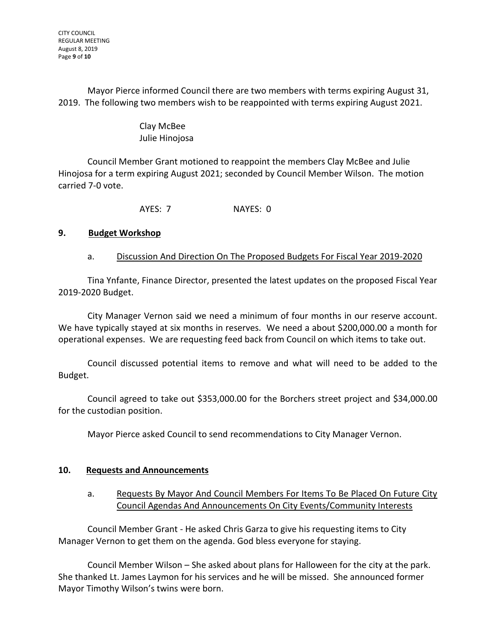Mayor Pierce informed Council there are two members with terms expiring August 31, 2019. The following two members wish to be reappointed with terms expiring August 2021.

## Clay McBee Julie Hinojosa

Council Member Grant motioned to reappoint the members Clay McBee and Julie Hinojosa for a term expiring August 2021; seconded by Council Member Wilson. The motion carried 7-0 vote.

AYES: 7 NAYES: 0

# **9. Budget Workshop**

## a. Discussion And Direction On The Proposed Budgets For Fiscal Year 2019-2020

Tina Ynfante, Finance Director, presented the latest updates on the proposed Fiscal Year 2019-2020 Budget.

City Manager Vernon said we need a minimum of four months in our reserve account. We have typically stayed at six months in reserves. We need a about \$200,000.00 a month for operational expenses. We are requesting feed back from Council on which items to take out.

Council discussed potential items to remove and what will need to be added to the Budget.

Council agreed to take out \$353,000.00 for the Borchers street project and \$34,000.00 for the custodian position.

Mayor Pierce asked Council to send recommendations to City Manager Vernon.

## **10. Requests and Announcements**

## a. Requests By Mayor And Council Members For Items To Be Placed On Future City Council Agendas And Announcements On City Events/Community Interests

Council Member Grant - He asked Chris Garza to give his requesting items to City Manager Vernon to get them on the agenda. God bless everyone for staying.

Council Member Wilson – She asked about plans for Halloween for the city at the park. She thanked Lt. James Laymon for his services and he will be missed. She announced former Mayor Timothy Wilson's twins were born.